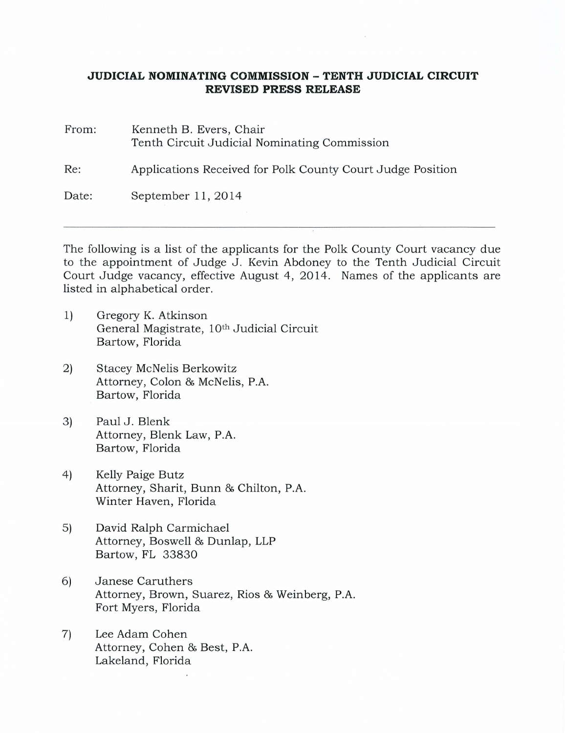## **JUDICIAL NOMINATING COMMISSION -TENTH JUDICIAL CIRCUIT REVISED PRESS RELEASE**

From: Kenneth B. Evers, Chair Tenth Circuit Judicial Nominating Commission Re: Applications Received for Polk County Court Judge Position Date: September 11, 2014

The following is a list of the applicants for the Polk County Court vacancy due to the appointment of Judge J. Kevin Abdoney to the Tenth Judicial Circuit Court Judge vacancy, effective August 4, 2014. Names of the applicants are listed in alphabetical order.

- 1) Gregory K. Atkinson General Magistrate, 10<sup>th</sup> Judicial Circuit Bartow, Florida
- 2) Stacey McNelis Berkowitz Attorney, Colon & McNelis, P.A. Bartow, Florida
- 3) Paul J. Blenk Attorney, Blenk Law, P.A. Bartow, Florida
- 4) Kelly Paige Butz Attorney, Sharit, Bunn & Chilton, P.A. Winter Haven, Florida
- 5) David Ralph Carmichael Attorney, Boswell & Dunlap, LLP Bartow, FL 33830
- 6) Janese Caruthers Attorney, Brown, Suarez, Rios & Weinberg, P.A. Fort Myers, Florida
- 7) Lee Adam Cohen Attorney, Cohen & Best, P.A. Lakeland, Florida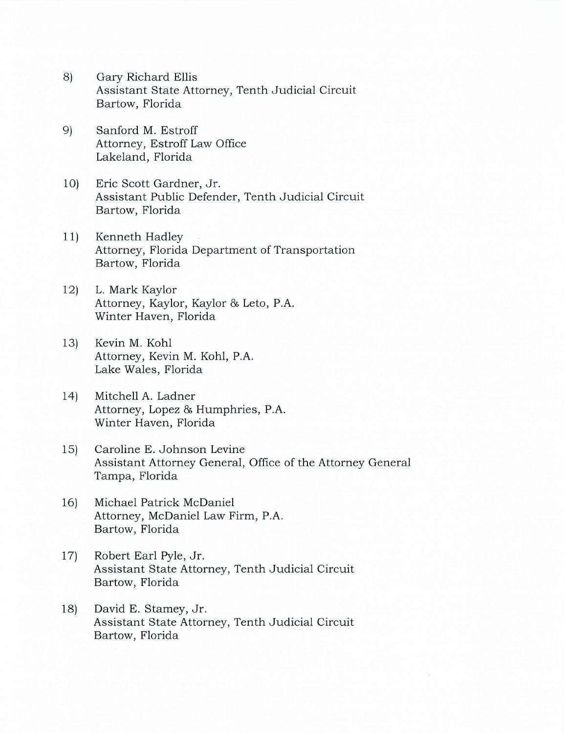- 8) Gary Richard Ellis Assistant State Attorney, Tenth Judicial Circuit Bartow, Florida
- 9) Sanford M. Estroff Attorney, Estroff Law Office Lakeland, Florida
- 10) Eric Scott Gardner, Jr. Assistant Public Defender, Tenth Judicial Circuit Bartow, Florida
- 11) Kenneth Hadley Attorney, Florida Department of Transportation Bartow, Florida
- 12) L. Mark Kaylor Attorney, Kaylor, Kaylor & Leto, P.A. Winter Haven, Florida
- 13) Kevin M. Kohl Attorney, Kevin M. Kohl, P.A. Lake Wales, Florida
- 14) Mitchell A. Ladner Attorney, Lopez & Humphries, P.A. Winter Haven, Florida
- 15) Caroline E. Johnson Levine Assistant Attorney General, Office of the Attorney General Tampa, Florida
- 16) Michael Patrick McDaniel Attorney, McDaniel Law Firm, P.A. Bartow, Florida
- 17) Robert Earl Pyle, Jr. Assistant State Attorney, Tenth Judicial Circuit Bartow, Florida
- 18) David E. Stamey, Jr. Assistant State Attorney, Tenth Judicial Circuit Bartow, Florida